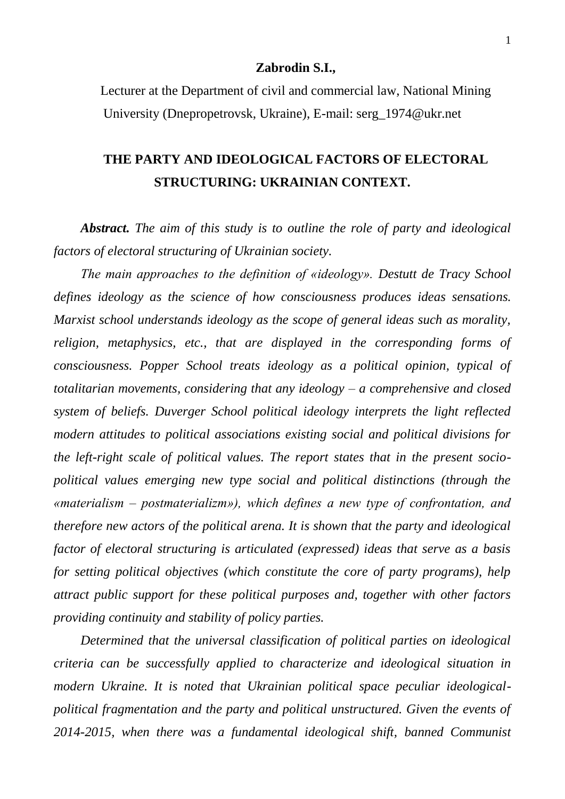## **Zabrodin S.I.,**

Lecturer at the Department of civil and commercial law, National Mining University (Dnepropetrovsk, Ukraine), E-mail: serg\_1974@ukr.net

## **THE PARTY AND IDEOLOGICAL FACTORS OF ELECTORAL STRUCTURING: UKRAINIAN CONTEXT.**

*Abstract. The aim of this study is to outline the role of party and ideological factors of electoral structuring of Ukrainian society.*

*The main approaches to the definition of «ideology». Destutt de Tracy School defines ideology as the science of how consciousness produces ideas sensations. Marxist school understands ideology as the scope of general ideas such as morality, religion, metaphysics, etc., that are displayed in the corresponding forms of consciousness. Popper School treats ideology as a political opinion, typical of totalitarian movements, considering that any ideology – a comprehensive and closed system of beliefs. Duverger School political ideology interprets the light reflected modern attitudes to political associations existing social and political divisions for the left-right scale of political values. The report states that in the present sociopolitical values emerging new type social and political distinctions (through the «materialism – postmaterializm»), which defines a new type of confrontation, and therefore new actors of the political arena. It is shown that the party and ideological factor of electoral structuring is articulated (expressed) ideas that serve as a basis for setting political objectives (which constitute the core of party programs), help attract public support for these political purposes and, together with other factors providing continuity and stability of policy parties.*

*Determined that the universal classification of political parties on ideological criteria can be successfully applied to characterize and ideological situation in modern Ukraine. It is noted that Ukrainian political space peculiar ideologicalpolitical fragmentation and the party and political unstructured. Given the events of 2014-2015, when there was a fundamental ideological shift, banned Communist*